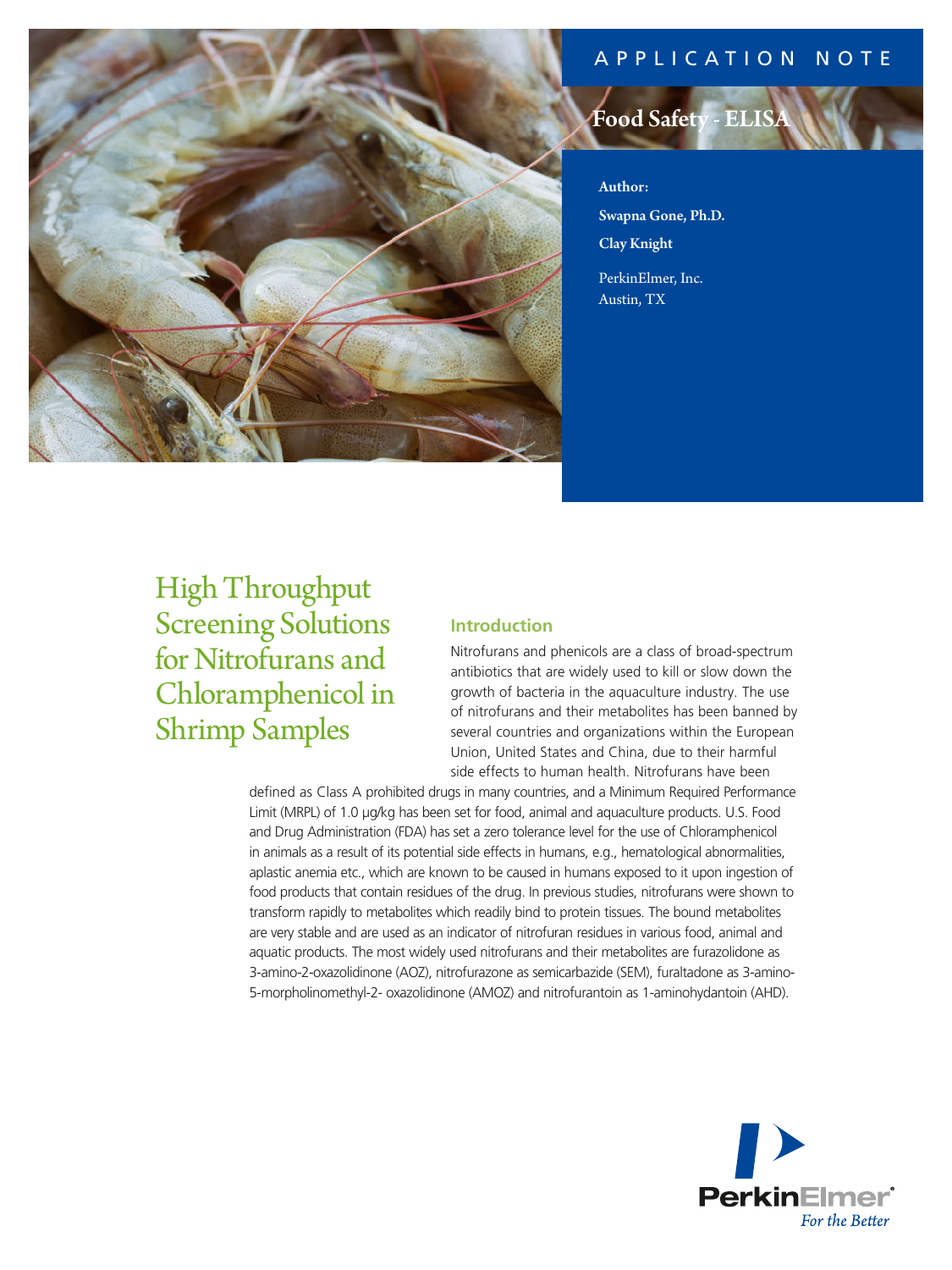# APPLICATION NOTE



# Food Safety - EI

Author: Swapna Gone, Ph.D. Clay Knight

PerkinElmer, Inc. Austin, TX

# High Throughput Screening Solutions for Nitrofurans and Chloramphenicol in Shrimp Samples

# **Introduction**

Nitrofurans and phenicols are a class of broad-spectrum antibiotics that are widely used to kill or slow down the growth of bacteria in the aquaculture industry. The use of nitrofurans and their metabolites has been banned by several countries and organizations within the European Union, United States and China, due to their harmful side effects to human health. Nitrofurans have been

defined as Class A prohibited drugs in many countries, and a Minimum Required Performance Limit (MRPL) of 1.0 µg/kg has been set for food, animal and aquaculture products. U.S. Food and Drug Administration (FDA) has set a zero tolerance level for the use of Chloramphenicol in animals as a result of its potential side effects in humans, e.g., hematological abnormalities, aplastic anemia etc., which are known to be caused in humans exposed to it upon ingestion of food products that contain residues of the drug. In previous studies, nitrofurans were shown to transform rapidly to metabolites which readily bind to protein tissues. The bound metabolites are very stable and are used as an indicator of nitrofuran residues in various food, animal and aquatic products. The most widely used nitrofurans and their metabolites are furazolidone as 3-amino-2-oxazolidinone (AOZ), nitrofurazone as semicarbazide (SEM), furaltadone as 3-amino-5-morpholinomethyl-2- oxazolidinone (AMOZ) and nitrofurantoin as 1-aminohydantoin (AHD).

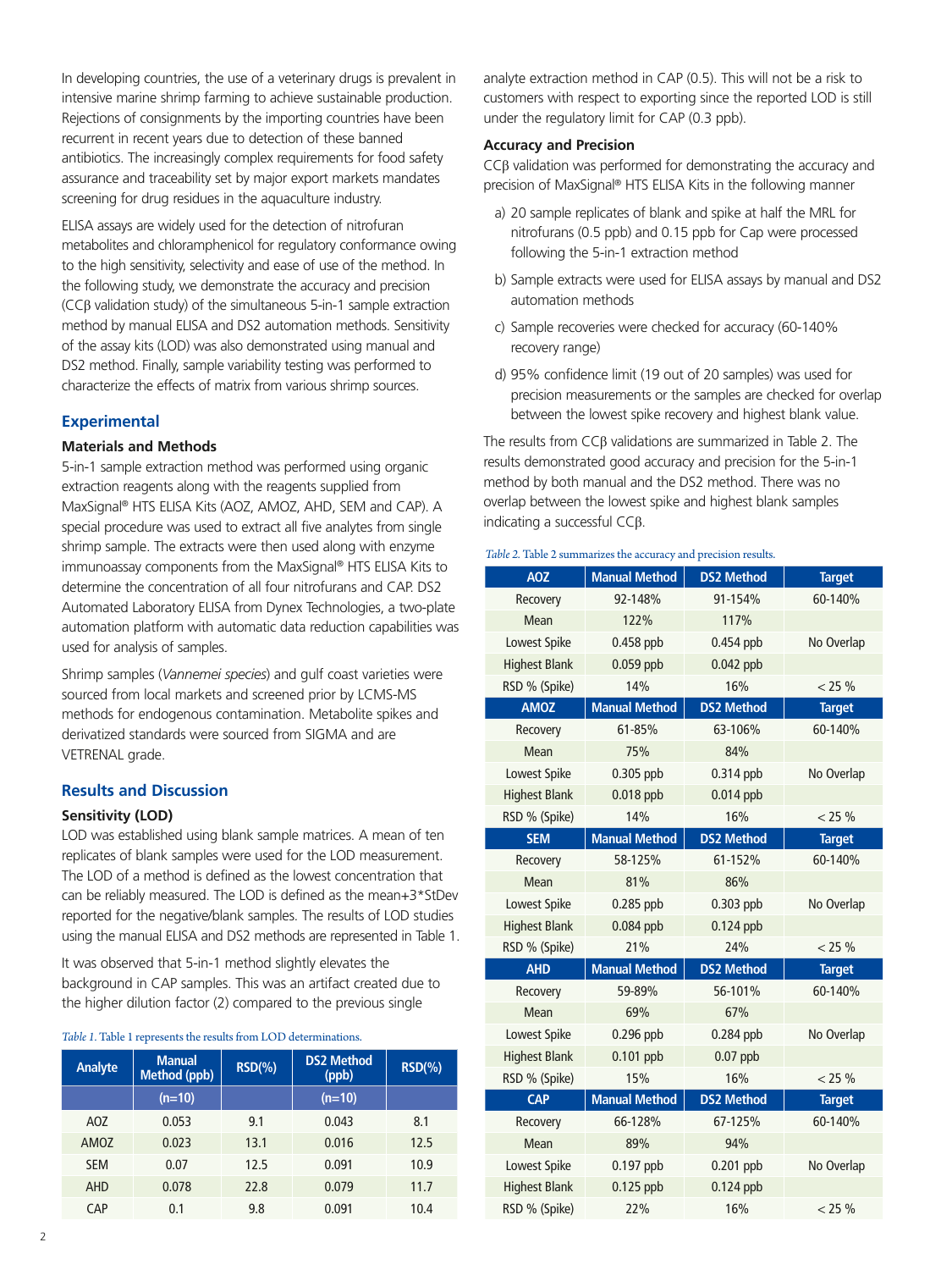In developing countries, the use of a veterinary drugs is prevalent in intensive marine shrimp farming to achieve sustainable production. Rejections of consignments by the importing countries have been recurrent in recent years due to detection of these banned antibiotics. The increasingly complex requirements for food safety assurance and traceability set by major export markets mandates screening for drug residues in the aquaculture industry.

ELISA assays are widely used for the detection of nitrofuran metabolites and chloramphenicol for regulatory conformance owing to the high sensitivity, selectivity and ease of use of the method. In the following study, we demonstrate the accuracy and precision (CCβ validation study) of the simultaneous 5-in-1 sample extraction method by manual ELISA and DS2 automation methods. Sensitivity of the assay kits (LOD) was also demonstrated using manual and DS2 method. Finally, sample variability testing was performed to characterize the effects of matrix from various shrimp sources.

## **Experimental**

#### **Materials and Methods**

5-in-1 sample extraction method was performed using organic extraction reagents along with the reagents supplied from MaxSignal® HTS ELISA Kits (AOZ, AMOZ, AHD, SEM and CAP). A special procedure was used to extract all five analytes from single shrimp sample. The extracts were then used along with enzyme immunoassay components from the MaxSignal® HTS ELISA Kits to determine the concentration of all four nitrofurans and CAP. DS2 Automated Laboratory ELISA from Dynex Technologies, a two-plate automation platform with automatic data reduction capabilities was used for analysis of samples.

Shrimp samples (*Vannemei species*) and gulf coast varieties were sourced from local markets and screened prior by LCMS-MS methods for endogenous contamination. Metabolite spikes and derivatized standards were sourced from SIGMA and are VETRENAL grade.

#### **Results and Discussion**

#### **Sensitivity (LOD)**

LOD was established using blank sample matrices. A mean of ten replicates of blank samples were used for the LOD measurement. The LOD of a method is defined as the lowest concentration that can be reliably measured. The LOD is defined as the mean+3\*StDev reported for the negative/blank samples. The results of LOD studies using the manual ELISA and DS2 methods are represented in Table 1.

It was observed that 5-in-1 method slightly elevates the background in CAP samples. This was an artifact created due to the higher dilution factor (2) compared to the previous single

#### *Table 1.* Table 1 represents the results from LOD determinations.

| Analyte    | <b>Manual</b><br>Method (ppb) | $RSD(\% )$ | <b>DS2 Method</b><br>(ppb) | $RSD(\% )$ |
|------------|-------------------------------|------------|----------------------------|------------|
|            | $(n=10)$                      |            | $(n=10)$                   |            |
| AOZ        | 0.053                         | 9.1        | 0.043                      | 8.1        |
| AMOZ       | 0.023                         | 13.1       | 0.016                      | 12.5       |
| <b>SEM</b> | 0.07                          | 12.5       | 0.091                      | 10.9       |
| <b>AHD</b> | 0.078                         | 22.8       | 0.079                      | 11.7       |
| CAP        | 0.1                           | 9.8        | 0.091                      | 10.4       |

analyte extraction method in CAP (0.5). This will not be a risk to customers with respect to exporting since the reported LOD is still under the regulatory limit for CAP (0.3 ppb).

## **Accuracy and Precision**

CCβ validation was performed for demonstrating the accuracy and precision of MaxSignal® HTS ELISA Kits in the following manner

- a) 20 sample replicates of blank and spike at half the MRL for nitrofurans (0.5 ppb) and 0.15 ppb for Cap were processed following the 5-in-1 extraction method
- b) Sample extracts were used for ELISA assays by manual and DS2 automation methods
- c) Sample recoveries were checked for accuracy (60-140% recovery range)
- d) 95% confidence limit (19 out of 20 samples) was used for precision measurements or the samples are checked for overlap between the lowest spike recovery and highest blank value.

The results from CCβ validations are summarized in Table 2. The results demonstrated good accuracy and precision for the 5-in-1 method by both manual and the DS2 method. There was no overlap between the lowest spike and highest blank samples indicating a successful CCβ.

#### *Table 2.* Table 2 summarizes the accuracy and precision results.

| <b>AOZ</b>           | <b>Manual Method</b> | <b>DS2 Method</b> | <b>Target</b> |
|----------------------|----------------------|-------------------|---------------|
| Recovery             | 92-148%              | 91-154%           | 60-140%       |
| <b>Mean</b>          | 122%                 | 117%              |               |
| Lowest Spike         | $0.458$ ppb          | $0.454$ ppb       | No Overlap    |
| <b>Highest Blank</b> | $0.059$ ppb          | $0.042$ ppb       |               |
| RSD % (Spike)        | 14%                  | 16%               | < 25 %        |
| <b>AMOZ</b>          | <b>Manual Method</b> | <b>DS2 Method</b> | <b>Target</b> |
| Recovery             | 61-85%               | 63-106%           | 60-140%       |
| Mean                 | 75%                  | 84%               |               |
| Lowest Spike         | $0.305$ ppb          | 0.314 ppb         | No Overlap    |
| <b>Highest Blank</b> | $0.018$ ppb          | $0.014$ ppb       |               |
| RSD % (Spike)        | 14%                  | 16%               | < 25 %        |
| <b>SEM</b>           | <b>Manual Method</b> | <b>DS2 Method</b> | <b>Target</b> |
| Recovery             | 58-125%              | 61-152%           | 60-140%       |
| Mean                 | 81%                  | 86%               |               |
| Lowest Spike         | 0.285 ppb            | $0.303$ ppb       | No Overlap    |
| <b>Highest Blank</b> | $0.084$ ppb          | $0.124$ ppb       |               |
| RSD % (Spike)        | 21%                  | 24%               | < 25 %        |
| <b>AHD</b>           | <b>Manual Method</b> | <b>DS2 Method</b> | <b>Target</b> |
| Recovery             | 59-89%               | 56-101%           | 60-140%       |
| Mean                 | 69%                  | 67%               |               |
| Lowest Spike         | $0.296$ ppb          | $0.284$ ppb       | No Overlap    |
| <b>Highest Blank</b> | $0.101$ ppb          | $0.07$ ppb        |               |
| RSD % (Spike)        | 15%                  | 16%               | $< 25 \%$     |
| CAP                  | <b>Manual Method</b> | <b>DS2 Method</b> | <b>Target</b> |
| Recovery             | 66-128%              | 67-125%           | 60-140%       |
| Mean                 | 89%                  | 94%               |               |
| Lowest Spike         | 0.197 ppb            | 0.201 ppb         | No Overlap    |
| <b>Highest Blank</b> | $0.125$ ppb          | $0.124$ ppb       |               |
| RSD % (Spike)        | 22%                  | 16%               | $< 25 \%$     |